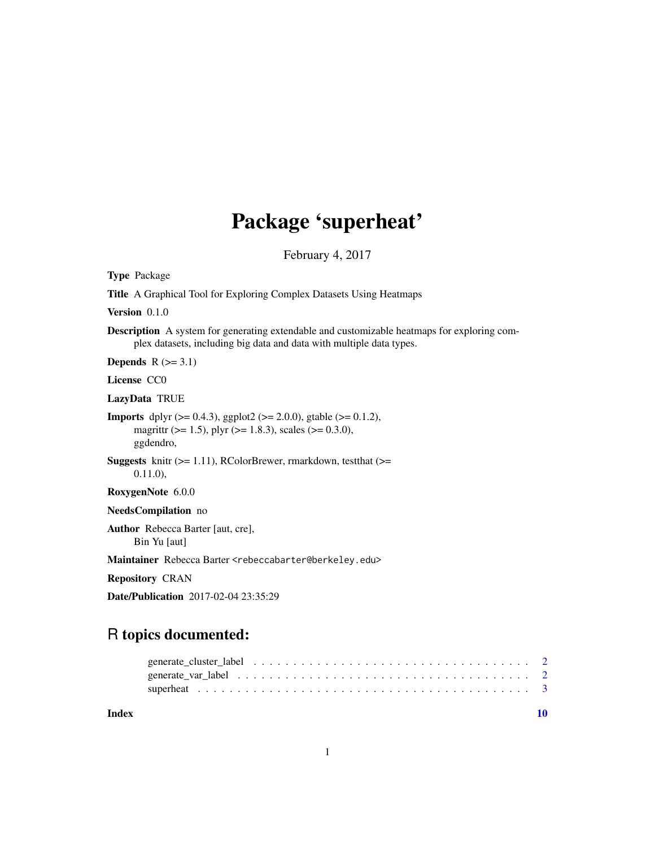## Package 'superheat'

February 4, 2017

<span id="page-0-0"></span>Type Package

Title A Graphical Tool for Exploring Complex Datasets Using Heatmaps

Version 0.1.0

Description A system for generating extendable and customizable heatmaps for exploring complex datasets, including big data and data with multiple data types.

Depends  $R$  ( $>= 3.1$ )

License CC0

LazyData TRUE

**Imports** dplyr  $(>= 0.4.3)$ , ggplot2  $(>= 2.0.0)$ , gtable  $(>= 0.1.2)$ , magrittr ( $> = 1.5$ ), plyr ( $> = 1.8.3$ ), scales ( $> = 0.3.0$ ), ggdendro,

**Suggests** knitr  $(>= 1.11)$ , RColorBrewer, rmarkdown, test that  $(>= 1.11)$ 0.11.0),

RoxygenNote 6.0.0

NeedsCompilation no

Author Rebecca Barter [aut, cre], Bin Yu [aut]

Maintainer Rebecca Barter <rebeccabarter@berkeley.edu>

Repository CRAN

Date/Publication 2017-02-04 23:35:29

### R topics documented:

 $\blacksquare$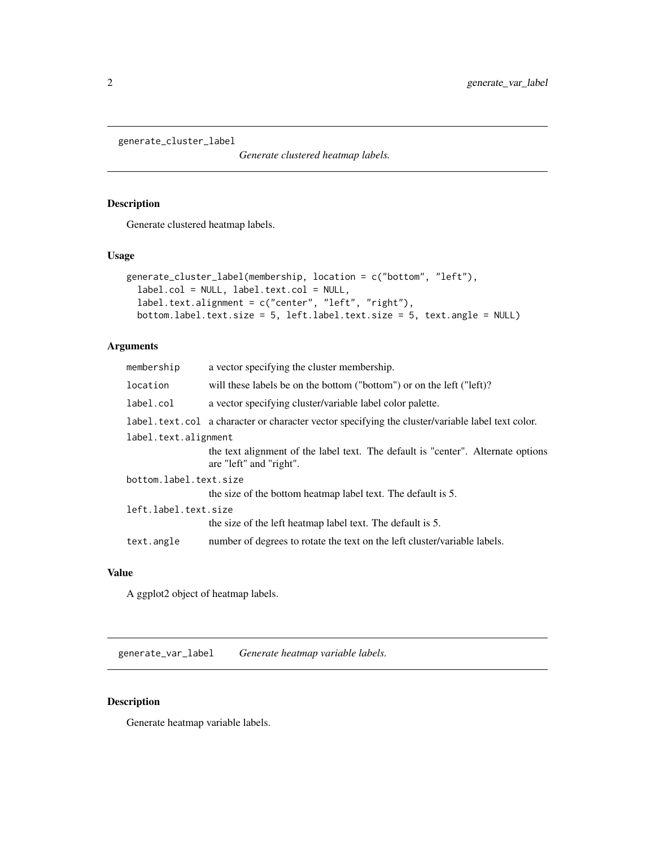<span id="page-1-0"></span>generate\_cluster\_label

*Generate clustered heatmap labels.*

#### Description

Generate clustered heatmap labels.

#### Usage

```
generate_cluster_label(membership, location = c("bottom", "left"),
  label.col = NULL, label.text.col = NULL,
  label.text.alignment = c("center", "left", "right"),
 bottom.label.text.size = 5, left.label.text.size = 5, text.angle = NULL)
```
#### Arguments

| membership             | a vector specifying the cluster membership.                                                                 |
|------------------------|-------------------------------------------------------------------------------------------------------------|
| location               | will these labels be on the bottom ("bottom") or on the left ("left)?                                       |
| label.col              | a vector specifying cluster/variable label color palette.                                                   |
|                        | label.text.col a character or character vector specifying the cluster/variable label text color.            |
| label.text.alignment   |                                                                                                             |
|                        | the text alignment of the label text. The default is "center". Alternate options<br>are "left" and "right". |
| bottom.label.text.size |                                                                                                             |
|                        | the size of the bottom heatmap label text. The default is 5.                                                |
| left.label.text.size   |                                                                                                             |
|                        | the size of the left heatmap label text. The default is 5.                                                  |
| text.angle             | number of degrees to rotate the text on the left cluster/variable labels.                                   |
|                        |                                                                                                             |

#### Value

A ggplot2 object of heatmap labels.

generate\_var\_label *Generate heatmap variable labels.*

#### Description

Generate heatmap variable labels.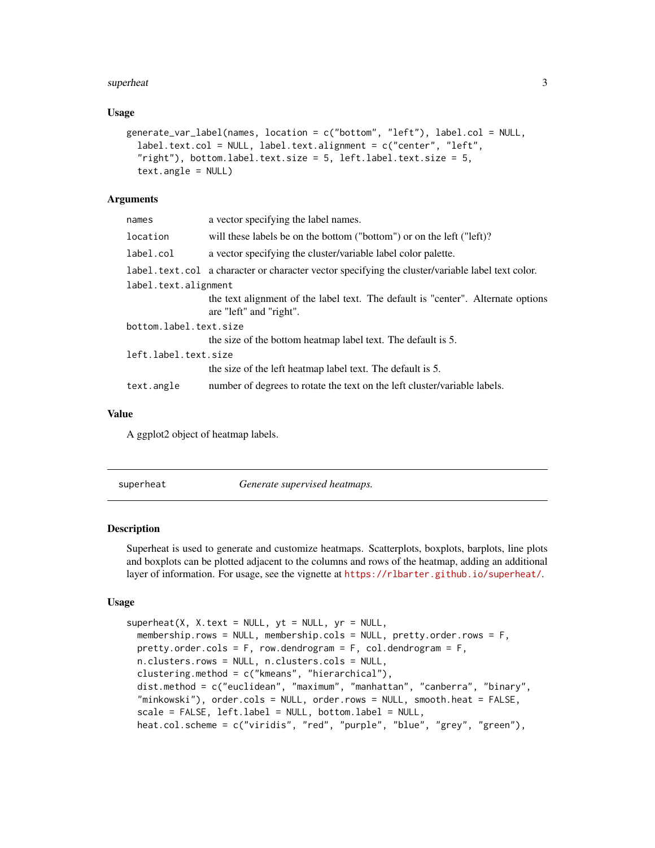#### <span id="page-2-0"></span>superheat 3

#### Usage

```
generate_var_label(names, location = c("bottom", "left"), label.col = NULL,
  label.text.col = NULL, label.text.alignment = c("center", "left",
  "right"), bottom.label.text.size = 5, left.label.text.size = 5,
  text.angle = NULL)
```
#### Arguments

| names                  | a vector specifying the label names.                                                                        |  |  |  |
|------------------------|-------------------------------------------------------------------------------------------------------------|--|--|--|
| location               | will these labels be on the bottom ("bottom") or on the left ("left)?                                       |  |  |  |
| label.col              | a vector specifying the cluster/variable label color palette.                                               |  |  |  |
|                        | label.text.col a character or character vector specifying the cluster/variable label text color.            |  |  |  |
| label.text.alignment   |                                                                                                             |  |  |  |
|                        | the text alignment of the label text. The default is "center". Alternate options<br>are "left" and "right". |  |  |  |
| bottom.label.text.size |                                                                                                             |  |  |  |
|                        | the size of the bottom heatmap label text. The default is 5.                                                |  |  |  |
| left.label.text.size   |                                                                                                             |  |  |  |
|                        | the size of the left heatmap label text. The default is 5.                                                  |  |  |  |
| text.angle             | number of degrees to rotate the text on the left cluster/variable labels.                                   |  |  |  |
|                        |                                                                                                             |  |  |  |

#### Value

A ggplot2 object of heatmap labels.

superheat *Generate supervised heatmaps.*

#### Description

Superheat is used to generate and customize heatmaps. Scatterplots, boxplots, barplots, line plots and boxplots can be plotted adjacent to the columns and rows of the heatmap, adding an additional layer of information. For usage, see the vignette at <https://rlbarter.github.io/superheat/>.

#### Usage

```
superheat(X, X.text = NULL, yt = NULL, yr = NULL,membership.rows = NULL, membership.cols = NULL, pretty.order.rows = F,
 pretty.order.cols = F, row.dendrogram = F, col.dendrogram = F,
 n.clusters.rows = NULL, n.clusters.cols = NULL,
 clustering.method = c("kmeans", "hierarchical"),
  dist.method = c("euclidean", "maximum", "manhattan", "canberra", "binary",
  "minkowski"), order.cols = NULL, order.rows = NULL, smooth.heat = FALSE,
  scale = FALSE, left.label = NULL, bottom.label = NULL,
  heat.col.scheme = c("viridis", "red", "purple", "blue", "grey", "green"),
```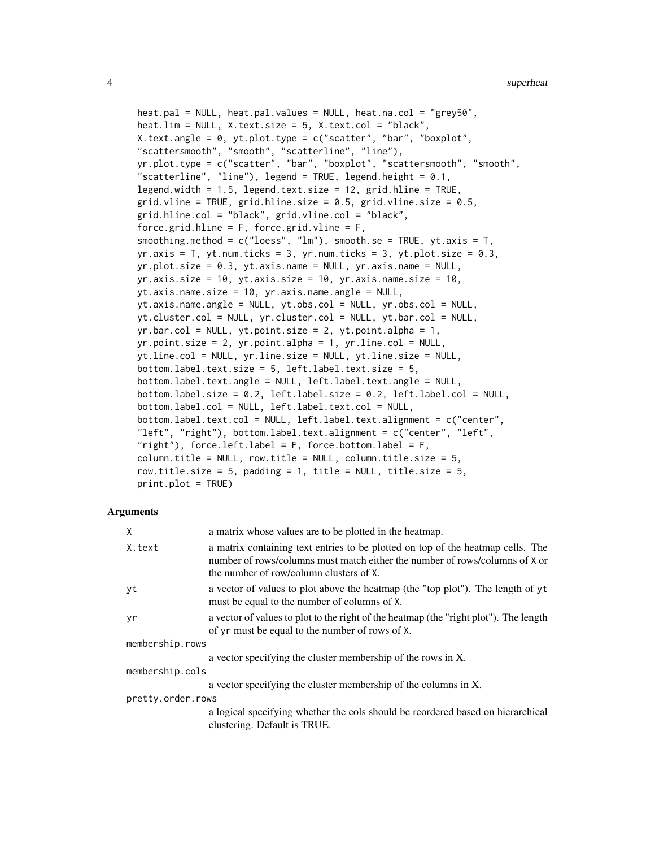```
heat.pal = NULL, heat.pal.values = NULL, heat.na.col = "grey50",
heat.lim = NULL, X.text.size = 5, X.text.col = "black",
X.text.angle = 0, yt.plot.type = c("scatter", "bar", "boxplot",
"scattersmooth", "smooth", "scatterline", "line"),
yr.plot.type = c("scatter", "bar", "boxplot", "scattersmooth", "smooth",
"scatterline", "line"), legend = TRUE, legend.height = 0.1,
legend.width = 1.5, legend.text.size = 12, grid.hline = TRUE,
grid.vline = TRUE, grid.hline.size = 0.5, grid.vline.size = 0.5,
grid.hline.col = "black", grid.vline.col = "black",
force.grid.hline = F, force.grid.vline = F,
smoothing.method = c("loess", "lm"), smooth.se = TRUE, yt.axis = T,
yr. axis = T, yt. num. ticks = 3, yr. num. ticks = 3, yt. plot.size = 0.3,
yr.plot.size = 0.3, yt.axis.name = NULL, yr.axis.name = NULL,
yr.axis.size = 10, yt.axis.size = 10, yr.axis.name.size = 10,
yt.axis.name.size = 10, yr.axis.name.angle = NULL,
yt.axis.name.angle = NULL, yt.obs.col = NULL, yr.obs.col = NULL,
yt.cluster.col = NULL, yr.cluster.col = NULL, yt.bar.col = NULL,
yr.bar.col = NULL, yt.point.size = 2, yt.point.alpha = 1,
yr.point.size = 2, yr.point.alpha = 1, yr.line.col = NULL,
yt.line.col = NULL, yr.line.size = NULL, yt.line.size = NULL,
bottom.label.text.size = 5, left.label.text.size = 5,
bottom.label.text.angle = NULL, left.label.text.angle = NULL,
bottom.label.size = 0.2, left.label.size = 0.2, left.label.col = NULL,
bottom.label.col = NULL, left.label.text.col = NULL,
bottom.label.text.col = NULL, left.label.text.alignment = c("center",
"left", "right"), bottom.label.text.alignment = c("center", "left",
"right"), force.left.label = F, force.bottom.label = F,
column.title = NULL, row.title = NULL, column.title.size = 5,
row.title.size = 5, padding = 1, title = NULL, title.size = 5,
print.plot = TRUE)
```
#### **Arguments**

| X                 | a matrix whose values are to be plotted in the heatmap.                                                                                                                                                   |
|-------------------|-----------------------------------------------------------------------------------------------------------------------------------------------------------------------------------------------------------|
| X.text            | a matrix containing text entries to be plotted on top of the heatmap cells. The<br>number of rows/columns must match either the number of rows/columns of X or<br>the number of row/column clusters of X. |
| уt                | a vector of values to plot above the heatmap (the "top plot"). The length of yt<br>must be equal to the number of columns of X.                                                                           |
| yr                | a vector of values to plot to the right of the heatmap (the "right plot"). The length<br>of yr must be equal to the number of rows of X.                                                                  |
| membership.rows   |                                                                                                                                                                                                           |
|                   | a vector specifying the cluster membership of the rows in X.                                                                                                                                              |
| membership.cols   |                                                                                                                                                                                                           |
|                   | a vector specifying the cluster membership of the columns in X.                                                                                                                                           |
| pretty.order.rows |                                                                                                                                                                                                           |
|                   | a logical specifying whether the cols should be reordered based on hierarchical<br>clustering. Default is TRUE.                                                                                           |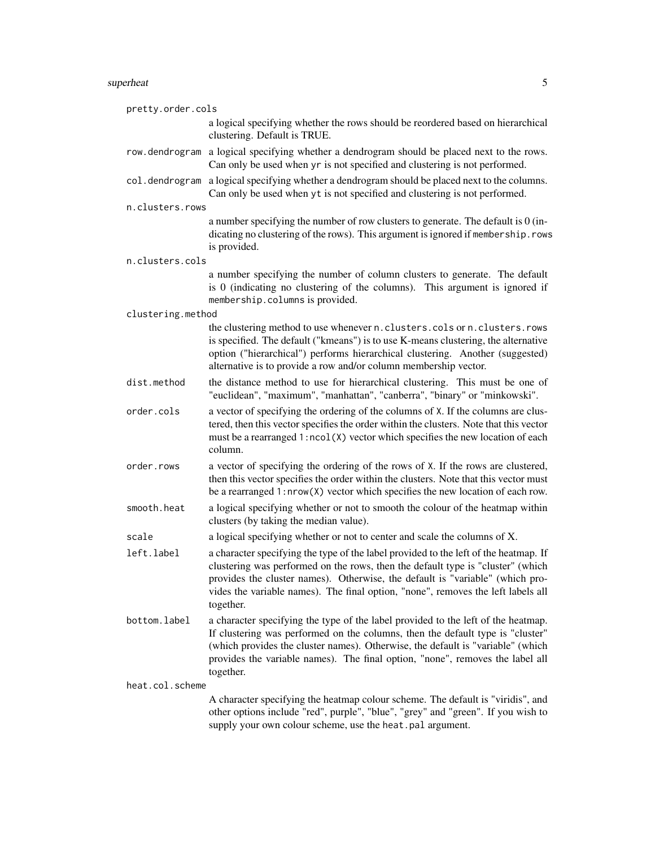#### superheat 5

| pretty.order.cols |                                                                                                                                                                                                                                                                                                                                                           |
|-------------------|-----------------------------------------------------------------------------------------------------------------------------------------------------------------------------------------------------------------------------------------------------------------------------------------------------------------------------------------------------------|
|                   | a logical specifying whether the rows should be reordered based on hierarchical<br>clustering. Default is TRUE.                                                                                                                                                                                                                                           |
| row.dendrogram    | a logical specifying whether a dendrogram should be placed next to the rows.<br>Can only be used when yr is not specified and clustering is not performed.                                                                                                                                                                                                |
| col.dendrogram    | a logical specifying whether a dendrogram should be placed next to the columns.<br>Can only be used when yt is not specified and clustering is not performed.                                                                                                                                                                                             |
| n.clusters.rows   |                                                                                                                                                                                                                                                                                                                                                           |
|                   | a number specifying the number of row clusters to generate. The default is 0 (in-<br>dicating no clustering of the rows). This argument is ignored if membership.rows<br>is provided.                                                                                                                                                                     |
| n.clusters.cols   |                                                                                                                                                                                                                                                                                                                                                           |
|                   | a number specifying the number of column clusters to generate. The default<br>is 0 (indicating no clustering of the columns). This argument is ignored if<br>membership.columns is provided.                                                                                                                                                              |
| clustering.method |                                                                                                                                                                                                                                                                                                                                                           |
|                   | the clustering method to use whenever n.clusters.cols or n.clusters.rows<br>is specified. The default ("kmeans") is to use K-means clustering, the alternative<br>option ("hierarchical") performs hierarchical clustering. Another (suggested)<br>alternative is to provide a row and/or column membership vector.                                       |
| dist.method       | the distance method to use for hierarchical clustering. This must be one of<br>"euclidean", "maximum", "manhattan", "canberra", "binary" or "minkowski".                                                                                                                                                                                                  |
| order.cols        | a vector of specifying the ordering of the columns of X. If the columns are clus-<br>tered, then this vector specifies the order within the clusters. Note that this vector<br>must be a rearranged 1:ncol(X) vector which specifies the new location of each<br>column.                                                                                  |
| order.rows        | a vector of specifying the ordering of the rows of X. If the rows are clustered,<br>then this vector specifies the order within the clusters. Note that this vector must<br>be a rearranged $1: nrow(X)$ vector which specifies the new location of each row.                                                                                             |
| smooth.heat       | a logical specifying whether or not to smooth the colour of the heatmap within<br>clusters (by taking the median value).                                                                                                                                                                                                                                  |
| scale             | a logical specifying whether or not to center and scale the columns of X.                                                                                                                                                                                                                                                                                 |
| left.label        | a character specifying the type of the label provided to the left of the heatmap. If<br>clustering was performed on the rows, then the default type is "cluster" (which<br>provides the cluster names). Otherwise, the default is "variable" (which pro-<br>vides the variable names). The final option, "none", removes the left labels all<br>together. |
| bottom.label      | a character specifying the type of the label provided to the left of the heatmap.<br>If clustering was performed on the columns, then the default type is "cluster"<br>(which provides the cluster names). Otherwise, the default is "variable" (which<br>provides the variable names). The final option, "none", removes the label all<br>together.      |
| heat.col.scheme   |                                                                                                                                                                                                                                                                                                                                                           |
|                   | A character specifying the heatmap colour scheme. The default is "viridis", and<br>other options include "red", purple", "blue", "grey" and "green". If you wish to<br>supply your own colour scheme, use the heat.pal argument.                                                                                                                          |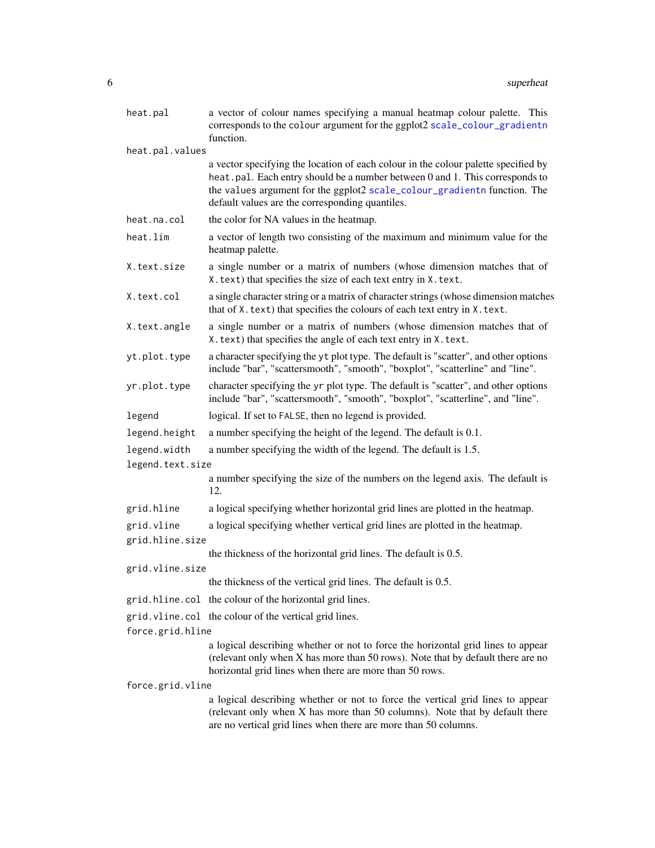<span id="page-5-0"></span>

| heat.pal         | a vector of colour names specifying a manual heatmap colour palette. This<br>corresponds to the colour argument for the ggplot2 scale_colour_gradientn<br>function.                                                                                                                               |
|------------------|---------------------------------------------------------------------------------------------------------------------------------------------------------------------------------------------------------------------------------------------------------------------------------------------------|
| heat.pal.values  |                                                                                                                                                                                                                                                                                                   |
|                  | a vector specifying the location of each colour in the colour palette specified by<br>heat.pal. Each entry should be a number between 0 and 1. This corresponds to<br>the values argument for the ggplot2 scale_colour_gradientn function. The<br>default values are the corresponding quantiles. |
| heat.na.col      | the color for NA values in the heatmap.                                                                                                                                                                                                                                                           |
| heat.lim         | a vector of length two consisting of the maximum and minimum value for the<br>heatmap palette.                                                                                                                                                                                                    |
| X.text.size      | a single number or a matrix of numbers (whose dimension matches that of<br>X. text) that specifies the size of each text entry in X. text.                                                                                                                                                        |
| X.text.col       | a single character string or a matrix of character strings (whose dimension matches<br>that of X. text) that specifies the colours of each text entry in X. text.                                                                                                                                 |
| X.text.angle     | a single number or a matrix of numbers (whose dimension matches that of<br>X. text) that specifies the angle of each text entry in X. text.                                                                                                                                                       |
| yt.plot.type     | a character specifying the yt plot type. The default is "scatter", and other options<br>include "bar", "scattersmooth", "smooth", "boxplot", "scatterline" and "line".                                                                                                                            |
| yr.plot.type     | character specifying the yr plot type. The default is "scatter", and other options<br>include "bar", "scattersmooth", "smooth", "boxplot", "scatterline", and "line".                                                                                                                             |
| legend           | logical. If set to FALSE, then no legend is provided.                                                                                                                                                                                                                                             |
| legend.height    | a number specifying the height of the legend. The default is 0.1.                                                                                                                                                                                                                                 |
| legend.width     | a number specifying the width of the legend. The default is 1.5.                                                                                                                                                                                                                                  |
| legend.text.size |                                                                                                                                                                                                                                                                                                   |
|                  | a number specifying the size of the numbers on the legend axis. The default is<br>12.                                                                                                                                                                                                             |
| grid.hline       | a logical specifying whether horizontal grid lines are plotted in the heatmap.                                                                                                                                                                                                                    |
| grid.vline       | a logical specifying whether vertical grid lines are plotted in the heatmap.                                                                                                                                                                                                                      |
| grid.hline.size  |                                                                                                                                                                                                                                                                                                   |
|                  | the thickness of the horizontal grid lines. The default is 0.5.                                                                                                                                                                                                                                   |
| grid.vline.size  | the thickness of the vertical grid lines. The default is 0.5.                                                                                                                                                                                                                                     |
|                  | grid.hline.col the colour of the horizontal grid lines.                                                                                                                                                                                                                                           |
|                  | grid. vline. col the colour of the vertical grid lines.                                                                                                                                                                                                                                           |
| force.grid.hline |                                                                                                                                                                                                                                                                                                   |
|                  | a logical describing whether or not to force the horizontal grid lines to appear<br>(relevant only when X has more than 50 rows). Note that by default there are no<br>horizontal grid lines when there are more than 50 rows.                                                                    |
| force.grid.vline |                                                                                                                                                                                                                                                                                                   |
|                  | a logical describing whether or not to force the vertical grid lines to appear<br>(relevant only when X has more than 50 columns). Note that by default there<br>are no vertical grid lines when there are more than 50 columns.                                                                  |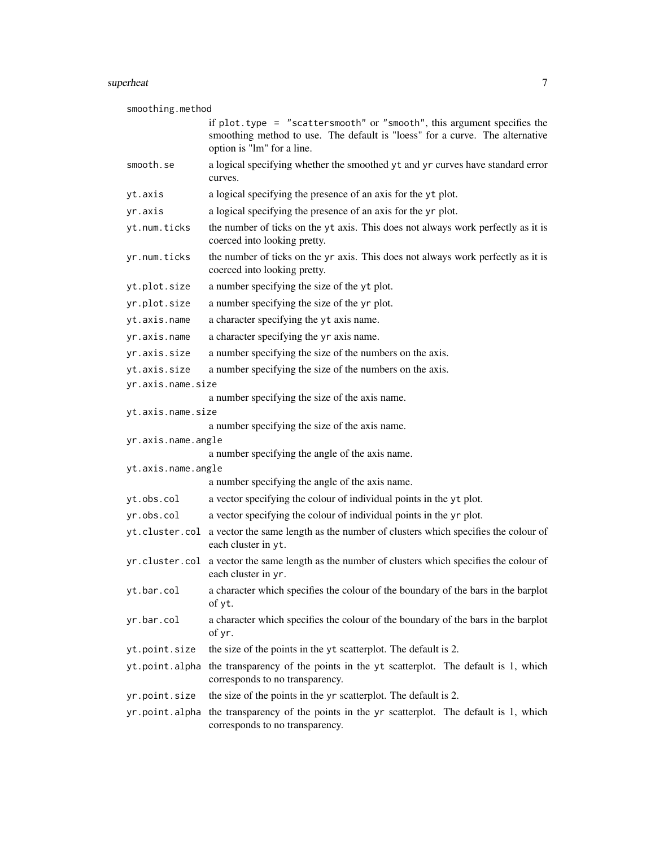#### superheat 7 and 7 and 7 and 7 and 7 and 7 and 7 and 7 and 7 and 7 and 7 and 7 and 7 and 7 and 7 and 7 and 7 and 7 and 7 and 7 and 7 and 7 and 7 and 7 and 7 and 7 and 7 and 7 and 7 and 7 and 7 and 7 and 7 and 7 and 7 and 7

smoothing.method

|                    | if plot.type = "scattersmooth" or "smooth", this argument specifies the                                                |
|--------------------|------------------------------------------------------------------------------------------------------------------------|
|                    | smoothing method to use. The default is "loess" for a curve. The alternative<br>option is "lm" for a line.             |
| smooth.se          | a logical specifying whether the smoothed yt and yr curves have standard error<br>curves.                              |
| yt.axis            | a logical specifying the presence of an axis for the yt plot.                                                          |
| yr.axis            | a logical specifying the presence of an axis for the yr plot.                                                          |
| yt.num.ticks       | the number of ticks on the yt axis. This does not always work perfectly as it is<br>coerced into looking pretty.       |
| yr.num.ticks       | the number of ticks on the yr axis. This does not always work perfectly as it is<br>coerced into looking pretty.       |
| yt.plot.size       | a number specifying the size of the yt plot.                                                                           |
| yr.plot.size       | a number specifying the size of the yr plot.                                                                           |
| yt.axis.name       | a character specifying the yt axis name.                                                                               |
| yr.axis.name       | a character specifying the yr axis name.                                                                               |
| yr.axis.size       | a number specifying the size of the numbers on the axis.                                                               |
| yt.axis.size       | a number specifying the size of the numbers on the axis.                                                               |
| yr.axis.name.size  |                                                                                                                        |
|                    | a number specifying the size of the axis name.                                                                         |
| yt.axis.name.size  |                                                                                                                        |
| yr.axis.name.angle | a number specifying the size of the axis name.                                                                         |
|                    | a number specifying the angle of the axis name.                                                                        |
| yt.axis.name.angle |                                                                                                                        |
|                    | a number specifying the angle of the axis name.                                                                        |
| yt.obs.col         | a vector specifying the colour of individual points in the yt plot.                                                    |
| yr.obs.col         | a vector specifying the colour of individual points in the yr plot.                                                    |
|                    | yt.cluster.col a vector the same length as the number of clusters which specifies the colour of<br>each cluster in yt. |
|                    | yr.cluster.col a vector the same length as the number of clusters which specifies the colour of<br>each cluster in yr. |
| yt.bar.col         | a character which specifies the colour of the boundary of the bars in the barplot<br>of yt.                            |
| yr.bar.col         | a character which specifies the colour of the boundary of the bars in the barplot<br>of yr.                            |
| yt.point.size      | the size of the points in the yt scatterplot. The default is 2.                                                        |
| yt.point.alpha     | the transparency of the points in the yt scatterplot. The default is 1, which<br>corresponds to no transparency.       |
| yr.point.size      | the size of the points in the yr scatterplot. The default is 2.                                                        |
| yr.point.alpha     | the transparency of the points in the yr scatterplot. The default is 1, which<br>corresponds to no transparency.       |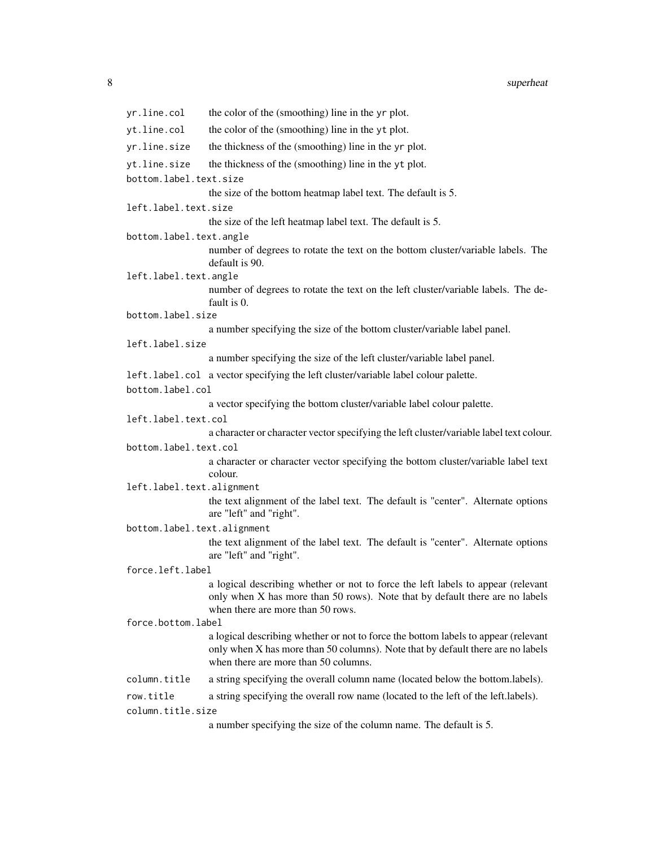| yr.line.col                 | the color of the (smoothing) line in the yr plot.                                                                                                                                                             |  |  |  |  |
|-----------------------------|---------------------------------------------------------------------------------------------------------------------------------------------------------------------------------------------------------------|--|--|--|--|
| yt.line.col                 | the color of the (smoothing) line in the yt plot.                                                                                                                                                             |  |  |  |  |
| yr.line.size                | the thickness of the (smoothing) line in the yr plot.                                                                                                                                                         |  |  |  |  |
| yt.line.size                | the thickness of the (smoothing) line in the yt plot.                                                                                                                                                         |  |  |  |  |
| bottom.label.text.size      |                                                                                                                                                                                                               |  |  |  |  |
|                             | the size of the bottom heatmap label text. The default is 5.                                                                                                                                                  |  |  |  |  |
| left.label.text.size        |                                                                                                                                                                                                               |  |  |  |  |
|                             | the size of the left heatmap label text. The default is 5.                                                                                                                                                    |  |  |  |  |
| bottom.label.text.angle     |                                                                                                                                                                                                               |  |  |  |  |
|                             | number of degrees to rotate the text on the bottom cluster/variable labels. The<br>default is 90.                                                                                                             |  |  |  |  |
| left.label.text.angle       |                                                                                                                                                                                                               |  |  |  |  |
|                             | number of degrees to rotate the text on the left cluster/variable labels. The de-<br>fault is 0.                                                                                                              |  |  |  |  |
| bottom.label.size           |                                                                                                                                                                                                               |  |  |  |  |
|                             | a number specifying the size of the bottom cluster/variable label panel.                                                                                                                                      |  |  |  |  |
| left.label.size             | a number specifying the size of the left cluster/variable label panel.                                                                                                                                        |  |  |  |  |
|                             |                                                                                                                                                                                                               |  |  |  |  |
|                             | left.label.col a vector specifying the left cluster/variable label colour palette.                                                                                                                            |  |  |  |  |
| bottom.label.col            | a vector specifying the bottom cluster/variable label colour palette.                                                                                                                                         |  |  |  |  |
| left.label.text.col         |                                                                                                                                                                                                               |  |  |  |  |
|                             | a character or character vector specifying the left cluster/variable label text colour.                                                                                                                       |  |  |  |  |
| bottom.label.text.col       |                                                                                                                                                                                                               |  |  |  |  |
|                             | a character or character vector specifying the bottom cluster/variable label text                                                                                                                             |  |  |  |  |
|                             | colour.                                                                                                                                                                                                       |  |  |  |  |
| left.label.text.alignment   |                                                                                                                                                                                                               |  |  |  |  |
|                             | the text alignment of the label text. The default is "center". Alternate options<br>are "left" and "right".                                                                                                   |  |  |  |  |
| bottom.label.text.alignment |                                                                                                                                                                                                               |  |  |  |  |
|                             | the text alignment of the label text. The default is "center". Alternate options<br>are "left" and "right".                                                                                                   |  |  |  |  |
| force.left.label            |                                                                                                                                                                                                               |  |  |  |  |
|                             | a logical describing whether or not to force the left labels to appear (relevant<br>only when X has more than 50 rows). Note that by default there are no labels<br>when there are more than 50 rows.         |  |  |  |  |
| force.bottom.label          |                                                                                                                                                                                                               |  |  |  |  |
|                             | a logical describing whether or not to force the bottom labels to appear (relevant<br>only when X has more than 50 columns). Note that by default there are no labels<br>when there are more than 50 columns. |  |  |  |  |
| column.title                | a string specifying the overall column name (located below the bottom.labels).                                                                                                                                |  |  |  |  |
| row.title                   | a string specifying the overall row name (located to the left of the left.labels).                                                                                                                            |  |  |  |  |
| column.title.size           |                                                                                                                                                                                                               |  |  |  |  |
|                             | a number specifying the size of the column name. The default is 5.                                                                                                                                            |  |  |  |  |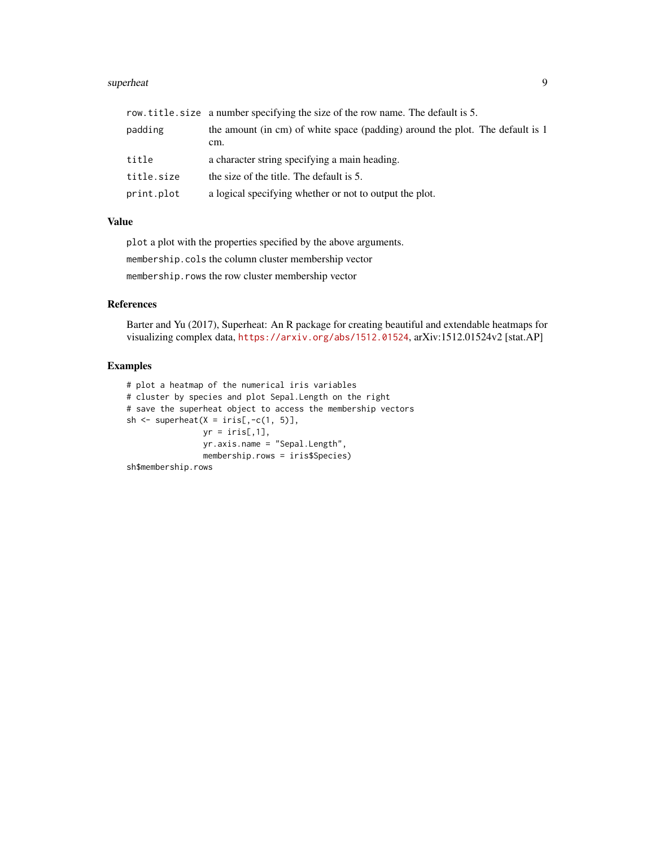#### superheat 9

|            | row.title.size a number specifying the size of the row name. The default is 5.       |
|------------|--------------------------------------------------------------------------------------|
| padding    | the amount (in cm) of white space (padding) around the plot. The default is 1<br>cm. |
| title      | a character string specifying a main heading.                                        |
| title.size | the size of the title. The default is 5.                                             |
| print.plot | a logical specifying whether or not to output the plot.                              |

#### Value

plot a plot with the properties specified by the above arguments. membership.cols the column cluster membership vector membership.rows the row cluster membership vector

#### References

Barter and Yu (2017), Superheat: An R package for creating beautiful and extendable heatmaps for visualizing complex data, <https://arxiv.org/abs/1512.01524>, arXiv:1512.01524v2 [stat.AP]

#### Examples

```
# plot a heatmap of the numerical iris variables
# cluster by species and plot Sepal.Length on the right
# save the superheat object to access the membership vectors
sh \leq superheat(X = iris[,-c(1, 5)],
               yr = iris[, 1],yr.axis.name = "Sepal.Length",
               membership.rows = iris$Species)
```
sh\$membership.rows